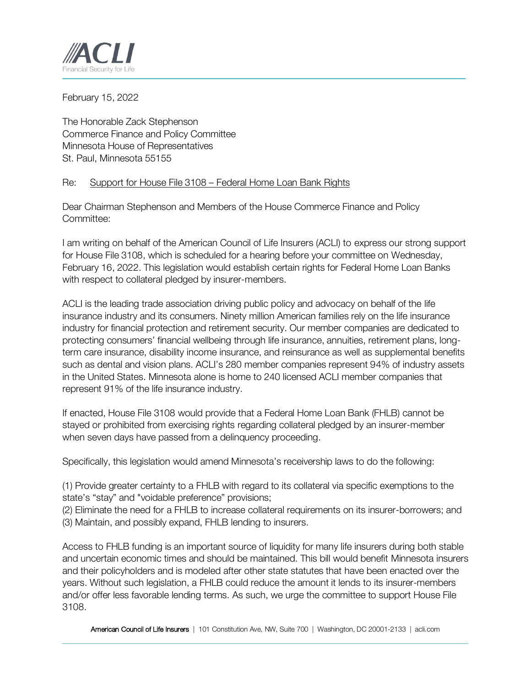

February 15, 2022

The Honorable Zack Stephenson Commerce Finance and Policy Committee Minnesota House of Representatives St. Paul, Minnesota 55155

## Re: Support for House File 3108 – Federal Home Loan Bank Rights

Dear Chairman Stephenson and Members of the House Commerce Finance and Policy Committee:

I am writing on behalf of the American Council of Life Insurers (ACLI) to express our strong support for House File 3108, which is scheduled for a hearing before your committee on Wednesday, February 16, 2022. This legislation would establish certain rights for Federal Home Loan Banks with respect to collateral pledged by insurer-members.

ACLI is the leading trade association driving public policy and advocacy on behalf of the life insurance industry and its consumers. Ninety million American families rely on the life insurance industry for financial protection and retirement security. Our member companies are dedicated to protecting consumers' financial wellbeing through life insurance, annuities, retirement plans, longterm care insurance, disability income insurance, and reinsurance as well as supplemental benefits such as dental and vision plans. ACLI's 280 member companies represent 94% of industry assets in the United States. Minnesota alone is home to 240 licensed ACLI member companies that represent 91% of the life insurance industry.

If enacted, House File 3108 would provide that a Federal Home Loan Bank (FHLB) cannot be stayed or prohibited from exercising rights regarding collateral pledged by an insurer-member when seven days have passed from a delinquency proceeding.

Specifically, this legislation would amend Minnesota's receivership laws to do the following:

(1) Provide greater certainty to a FHLB with regard to its collateral via specific exemptions to the state's "stay" and "voidable preference" provisions;

(2) Eliminate the need for a FHLB to increase collateral requirements on its insurer-borrowers; and (3) Maintain, and possibly expand, FHLB lending to insurers.

Access to FHLB funding is an important source of liquidity for many life insurers during both stable and uncertain economic times and should be maintained. This bill would benefit Minnesota insurers and their policyholders and is modeled after other state statutes that have been enacted over the years. Without such legislation, a FHLB could reduce the amount it lends to its insurer-members and/or offer less favorable lending terms. As such, we urge the committee to support House File 3108.

American Council of Life Insurers | 101 Constitution Ave, NW, Suite 700 | Washington, DC 20001-2133 | acli.com